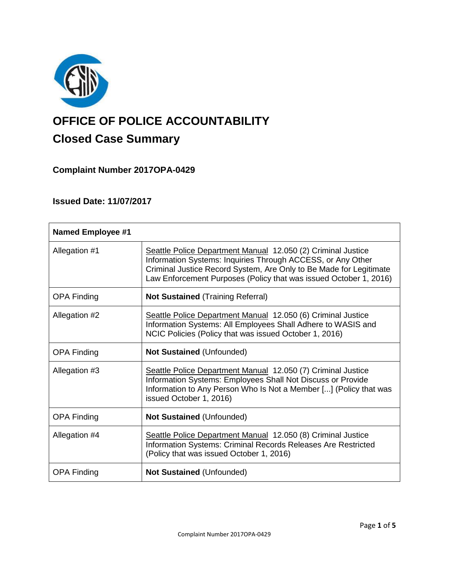

# **OFFICE OF POLICE ACCOUNTABILITY**

# **Closed Case Summary**

**Complaint Number 2017OPA-0429**

# **Issued Date: 11/07/2017**

| <b>Named Employee #1</b> |                                                                                                                                                                                                                                                                        |
|--------------------------|------------------------------------------------------------------------------------------------------------------------------------------------------------------------------------------------------------------------------------------------------------------------|
| Allegation #1            | Seattle Police Department Manual 12.050 (2) Criminal Justice<br>Information Systems: Inquiries Through ACCESS, or Any Other<br>Criminal Justice Record System, Are Only to Be Made for Legitimate<br>Law Enforcement Purposes (Policy that was issued October 1, 2016) |
| <b>OPA Finding</b>       | <b>Not Sustained (Training Referral)</b>                                                                                                                                                                                                                               |
| Allegation #2            | Seattle Police Department Manual 12.050 (6) Criminal Justice<br>Information Systems: All Employees Shall Adhere to WASIS and<br>NCIC Policies (Policy that was issued October 1, 2016)                                                                                 |
| <b>OPA Finding</b>       | <b>Not Sustained (Unfounded)</b>                                                                                                                                                                                                                                       |
| Allegation #3            | Seattle Police Department Manual 12.050 (7) Criminal Justice<br>Information Systems: Employees Shall Not Discuss or Provide<br>Information to Any Person Who Is Not a Member [] (Policy that was<br>issued October 1, 2016)                                            |
| <b>OPA Finding</b>       | Not Sustained (Unfounded)                                                                                                                                                                                                                                              |
| Allegation #4            | Seattle Police Department Manual 12.050 (8) Criminal Justice<br>Information Systems: Criminal Records Releases Are Restricted<br>(Policy that was issued October 1, 2016)                                                                                              |
| <b>OPA Finding</b>       | <b>Not Sustained (Unfounded)</b>                                                                                                                                                                                                                                       |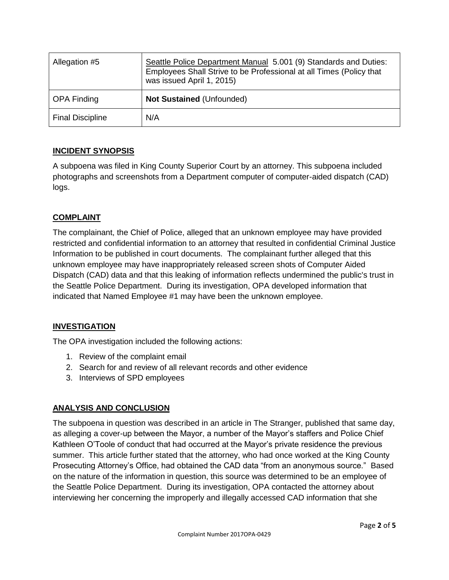| Allegation #5           | Seattle Police Department Manual 5.001 (9) Standards and Duties:<br>Employees Shall Strive to be Professional at all Times (Policy that<br>was issued April 1, 2015) |
|-------------------------|----------------------------------------------------------------------------------------------------------------------------------------------------------------------|
| <b>OPA Finding</b>      | <b>Not Sustained (Unfounded)</b>                                                                                                                                     |
| <b>Final Discipline</b> | N/A                                                                                                                                                                  |

# **INCIDENT SYNOPSIS**

A subpoena was filed in King County Superior Court by an attorney. This subpoena included photographs and screenshots from a Department computer of computer-aided dispatch (CAD) logs.

# **COMPLAINT**

The complainant, the Chief of Police, alleged that an unknown employee may have provided restricted and confidential information to an attorney that resulted in confidential Criminal Justice Information to be published in court documents. The complainant further alleged that this unknown employee may have inappropriately released screen shots of Computer Aided Dispatch (CAD) data and that this leaking of information reflects undermined the public's trust in the Seattle Police Department. During its investigation, OPA developed information that indicated that Named Employee #1 may have been the unknown employee.

# **INVESTIGATION**

The OPA investigation included the following actions:

- 1. Review of the complaint email
- 2. Search for and review of all relevant records and other evidence
- 3. Interviews of SPD employees

# **ANALYSIS AND CONCLUSION**

The subpoena in question was described in an article in The Stranger, published that same day, as alleging a cover-up between the Mayor, a number of the Mayor's staffers and Police Chief Kathleen O'Toole of conduct that had occurred at the Mayor's private residence the previous summer. This article further stated that the attorney, who had once worked at the King County Prosecuting Attorney's Office, had obtained the CAD data "from an anonymous source." Based on the nature of the information in question, this source was determined to be an employee of the Seattle Police Department. During its investigation, OPA contacted the attorney about interviewing her concerning the improperly and illegally accessed CAD information that she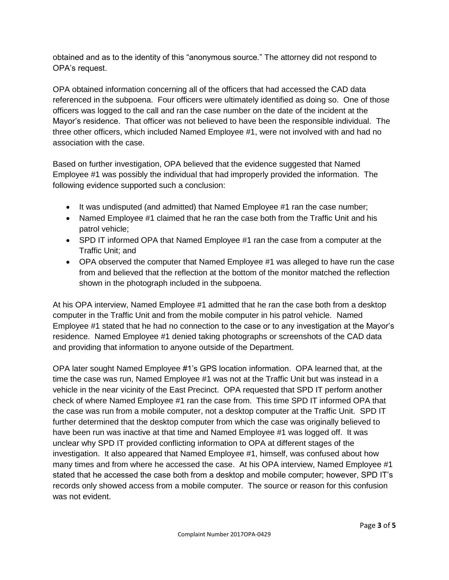obtained and as to the identity of this "anonymous source." The attorney did not respond to OPA's request.

OPA obtained information concerning all of the officers that had accessed the CAD data referenced in the subpoena. Four officers were ultimately identified as doing so. One of those officers was logged to the call and ran the case number on the date of the incident at the Mayor's residence. That officer was not believed to have been the responsible individual. The three other officers, which included Named Employee #1, were not involved with and had no association with the case.

Based on further investigation, OPA believed that the evidence suggested that Named Employee #1 was possibly the individual that had improperly provided the information. The following evidence supported such a conclusion:

- It was undisputed (and admitted) that Named Employee #1 ran the case number;
- Named Employee #1 claimed that he ran the case both from the Traffic Unit and his patrol vehicle;
- SPD IT informed OPA that Named Employee #1 ran the case from a computer at the Traffic Unit; and
- OPA observed the computer that Named Employee #1 was alleged to have run the case from and believed that the reflection at the bottom of the monitor matched the reflection shown in the photograph included in the subpoena.

At his OPA interview, Named Employee #1 admitted that he ran the case both from a desktop computer in the Traffic Unit and from the mobile computer in his patrol vehicle. Named Employee #1 stated that he had no connection to the case or to any investigation at the Mayor's residence. Named Employee #1 denied taking photographs or screenshots of the CAD data and providing that information to anyone outside of the Department.

OPA later sought Named Employee #1's GPS location information. OPA learned that, at the time the case was run, Named Employee #1 was not at the Traffic Unit but was instead in a vehicle in the near vicinity of the East Precinct. OPA requested that SPD IT perform another check of where Named Employee #1 ran the case from. This time SPD IT informed OPA that the case was run from a mobile computer, not a desktop computer at the Traffic Unit. SPD IT further determined that the desktop computer from which the case was originally believed to have been run was inactive at that time and Named Employee #1 was logged off. It was unclear why SPD IT provided conflicting information to OPA at different stages of the investigation. It also appeared that Named Employee #1, himself, was confused about how many times and from where he accessed the case. At his OPA interview, Named Employee #1 stated that he accessed the case both from a desktop and mobile computer; however, SPD IT's records only showed access from a mobile computer. The source or reason for this confusion was not evident.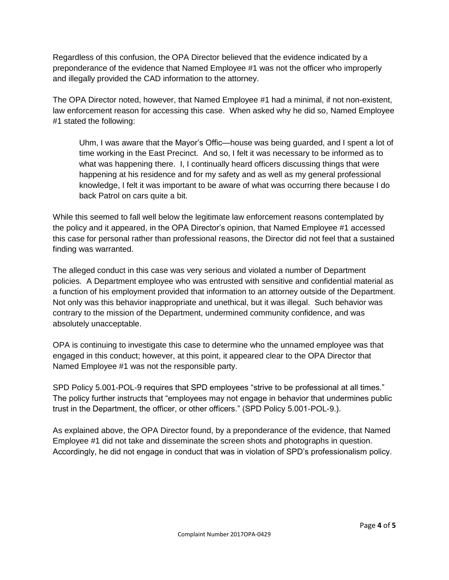Regardless of this confusion, the OPA Director believed that the evidence indicated by a preponderance of the evidence that Named Employee #1 was not the officer who improperly and illegally provided the CAD information to the attorney.

The OPA Director noted, however, that Named Employee #1 had a minimal, if not non-existent, law enforcement reason for accessing this case. When asked why he did so, Named Employee #1 stated the following:

Uhm, I was aware that the Mayor's Offic—house was being guarded, and I spent a lot of time working in the East Precinct. And so, I felt it was necessary to be informed as to what was happening there. I, I continually heard officers discussing things that were happening at his residence and for my safety and as well as my general professional knowledge, I felt it was important to be aware of what was occurring there because I do back Patrol on cars quite a bit.

While this seemed to fall well below the legitimate law enforcement reasons contemplated by the policy and it appeared, in the OPA Director's opinion, that Named Employee #1 accessed this case for personal rather than professional reasons, the Director did not feel that a sustained finding was warranted.

The alleged conduct in this case was very serious and violated a number of Department policies. A Department employee who was entrusted with sensitive and confidential material as a function of his employment provided that information to an attorney outside of the Department. Not only was this behavior inappropriate and unethical, but it was illegal. Such behavior was contrary to the mission of the Department, undermined community confidence, and was absolutely unacceptable.

OPA is continuing to investigate this case to determine who the unnamed employee was that engaged in this conduct; however, at this point, it appeared clear to the OPA Director that Named Employee #1 was not the responsible party.

SPD Policy 5.001-POL-9 requires that SPD employees "strive to be professional at all times." The policy further instructs that "employees may not engage in behavior that undermines public trust in the Department, the officer, or other officers." (SPD Policy 5.001-POL-9.).

As explained above, the OPA Director found, by a preponderance of the evidence, that Named Employee #1 did not take and disseminate the screen shots and photographs in question. Accordingly, he did not engage in conduct that was in violation of SPD's professionalism policy.